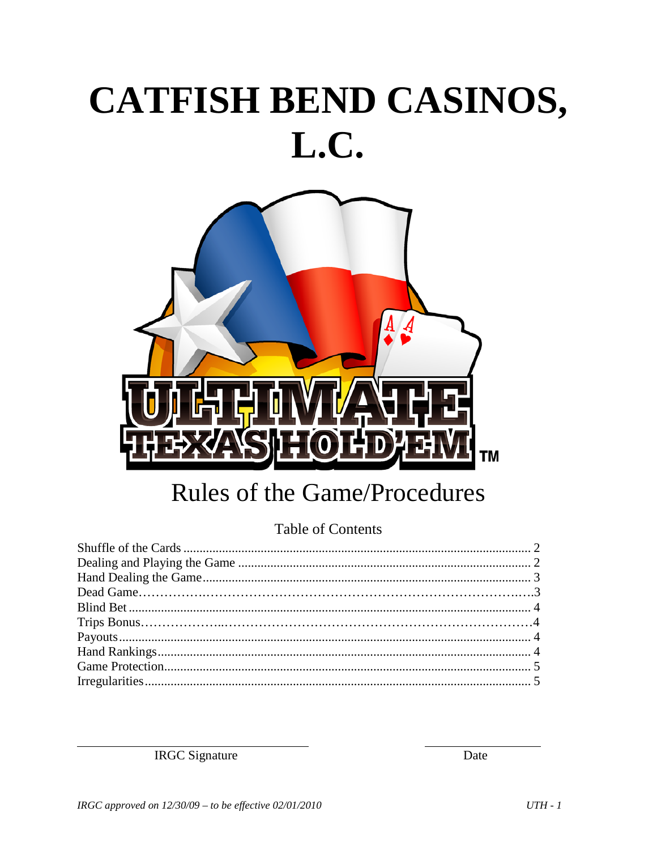# CATFISH BEND CASINOS, L.C.



## **Rules of the Game/Procedures**

#### **Table of Contents**

**IRGC** Signature

Date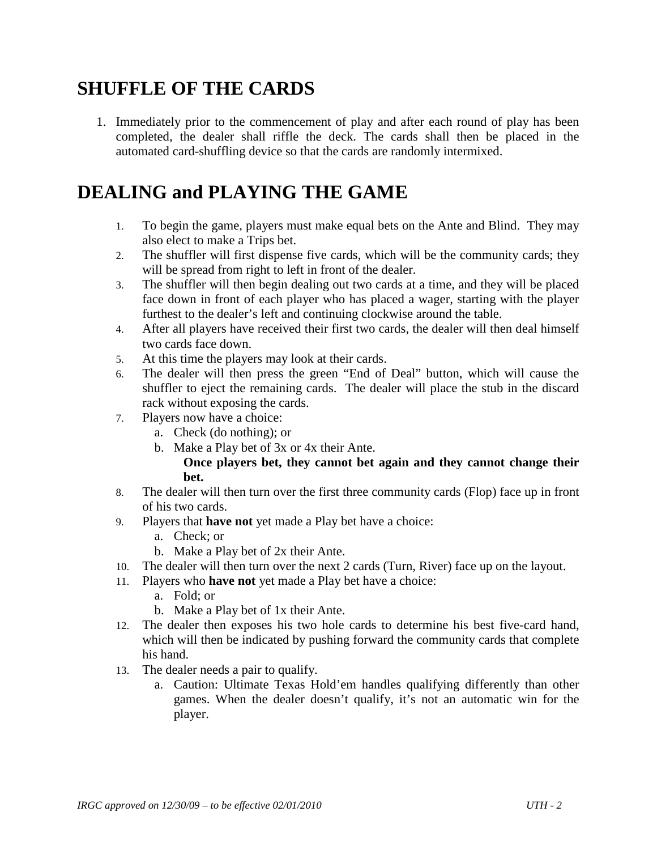## **SHUFFLE OF THE CARDS**

1. Immediately prior to the commencement of play and after each round of play has been completed, the dealer shall riffle the deck. The cards shall then be placed in the automated card-shuffling device so that the cards are randomly intermixed.

## **DEALING and PLAYING THE GAME**

- 1. To begin the game, players must make equal bets on the Ante and Blind. They may also elect to make a Trips bet.
- 2. The shuffler will first dispense five cards, which will be the community cards; they will be spread from right to left in front of the dealer.
- 3. The shuffler will then begin dealing out two cards at a time, and they will be placed face down in front of each player who has placed a wager, starting with the player furthest to the dealer's left and continuing clockwise around the table.
- 4. After all players have received their first two cards, the dealer will then deal himself two cards face down.
- 5. At this time the players may look at their cards.
- 6. The dealer will then press the green "End of Deal" button, which will cause the shuffler to eject the remaining cards. The dealer will place the stub in the discard rack without exposing the cards.
- 7. Players now have a choice:
	- a. Check (do nothing); or
	- b. Make a Play bet of 3x or 4x their Ante.

#### **Once players bet, they cannot bet again and they cannot change their bet.**

- 8. The dealer will then turn over the first three community cards (Flop) face up in front of his two cards.
- 9. Players that **have not** yet made a Play bet have a choice:
	- a. Check; or
	- b. Make a Play bet of 2x their Ante.
- 10. The dealer will then turn over the next 2 cards (Turn, River) face up on the layout.
- 11. Players who **have not** yet made a Play bet have a choice:
	- a. Fold; or
	- b. Make a Play bet of 1x their Ante.
- 12. The dealer then exposes his two hole cards to determine his best five-card hand, which will then be indicated by pushing forward the community cards that complete his hand.
- 13. The dealer needs a pair to qualify.
	- a. Caution: Ultimate Texas Hold'em handles qualifying differently than other games. When the dealer doesn't qualify, it's not an automatic win for the player.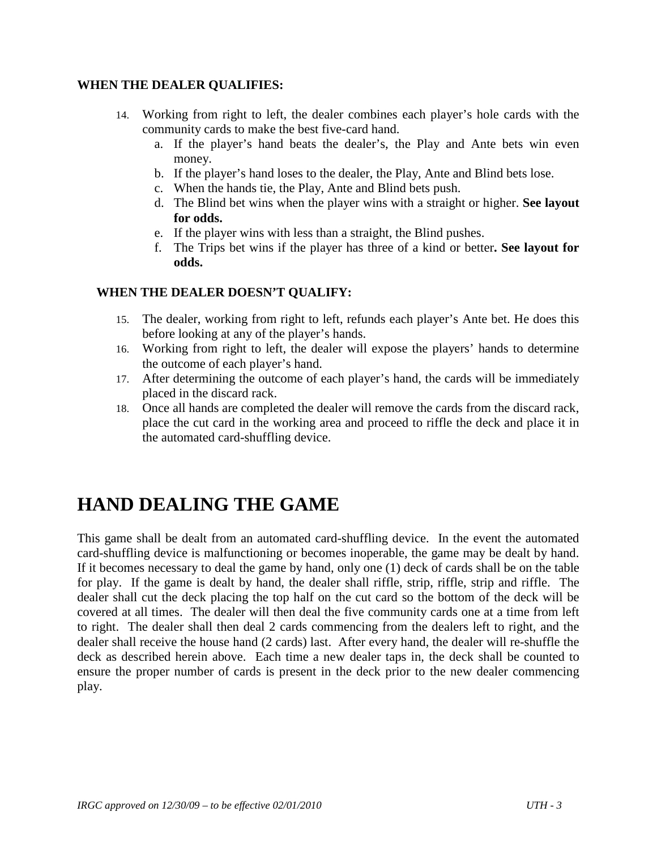#### **WHEN THE DEALER QUALIFIES:**

- 14. Working from right to left, the dealer combines each player's hole cards with the community cards to make the best five-card hand.
	- a. If the player's hand beats the dealer's, the Play and Ante bets win even money.
	- b. If the player's hand loses to the dealer, the Play, Ante and Blind bets lose.
	- c. When the hands tie, the Play, Ante and Blind bets push.
	- d. The Blind bet wins when the player wins with a straight or higher. **See layout for odds.**
	- e. If the player wins with less than a straight, the Blind pushes.
	- f. The Trips bet wins if the player has three of a kind or better**. See layout for odds.**

#### **WHEN THE DEALER DOESN'T QUALIFY:**

- 15. The dealer, working from right to left, refunds each player's Ante bet. He does this before looking at any of the player's hands.
- 16. Working from right to left, the dealer will expose the players' hands to determine the outcome of each player's hand.
- 17. After determining the outcome of each player's hand, the cards will be immediately placed in the discard rack.
- 18. Once all hands are completed the dealer will remove the cards from the discard rack, place the cut card in the working area and proceed to riffle the deck and place it in the automated card-shuffling device.

#### **HAND DEALING THE GAME**

This game shall be dealt from an automated card-shuffling device. In the event the automated card-shuffling device is malfunctioning or becomes inoperable, the game may be dealt by hand. If it becomes necessary to deal the game by hand, only one (1) deck of cards shall be on the table for play. If the game is dealt by hand, the dealer shall riffle, strip, riffle, strip and riffle. The dealer shall cut the deck placing the top half on the cut card so the bottom of the deck will be covered at all times. The dealer will then deal the five community cards one at a time from left to right. The dealer shall then deal 2 cards commencing from the dealers left to right, and the dealer shall receive the house hand (2 cards) last. After every hand, the dealer will re-shuffle the deck as described herein above. Each time a new dealer taps in, the deck shall be counted to ensure the proper number of cards is present in the deck prior to the new dealer commencing play.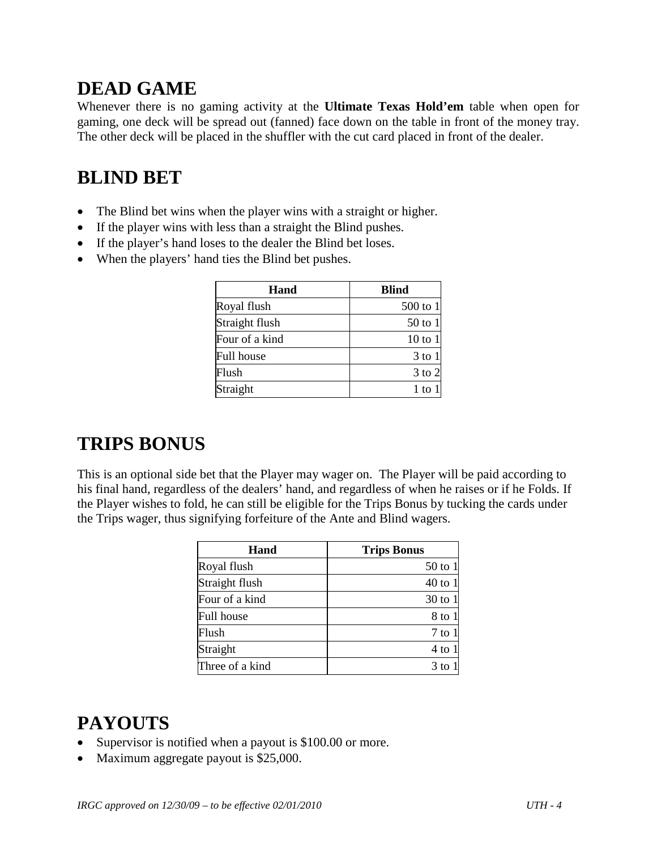## **DEAD GAME**

Whenever there is no gaming activity at the **Ultimate Texas Hold'em** table when open for gaming, one deck will be spread out (fanned) face down on the table in front of the money tray. The other deck will be placed in the shuffler with the cut card placed in front of the dealer.

## **BLIND BET**

- The Blind bet wins when the player wins with a straight or higher.
- If the player wins with less than a straight the Blind pushes.
- If the player's hand loses to the dealer the Blind bet loses.
- When the players' hand ties the Blind bet pushes.

| Hand              | <b>Blind</b> |
|-------------------|--------------|
| Royal flush       | $500$ to 1   |
| Straight flush    | 50 to 1      |
| Four of a kind    | $10$ to $1$  |
| <b>Full house</b> | $3$ to $1$   |
| Flush             | 3 to 2       |
| Straight          | 1 to         |

#### **TRIPS BONUS**

This is an optional side bet that the Player may wager on. The Player will be paid according to his final hand, regardless of the dealers' hand, and regardless of when he raises or if he Folds. If the Player wishes to fold, he can still be eligible for the Trips Bonus by tucking the cards under the Trips wager, thus signifying forfeiture of the Ante and Blind wagers.

| Hand              | <b>Trips Bonus</b> |
|-------------------|--------------------|
| Royal flush       | 50 to 1            |
| Straight flush    | 40 to 1            |
| Four of a kind    | 30 to 1            |
| <b>Full house</b> | 8 to 1             |
| Flush             | 7 to 1             |
| Straight          | $4$ to 1           |
| Three of a kind   | $3$ to             |

#### **PAYOUTS**

- Supervisor is notified when a payout is \$100.00 or more.
- Maximum aggregate payout is \$25,000.